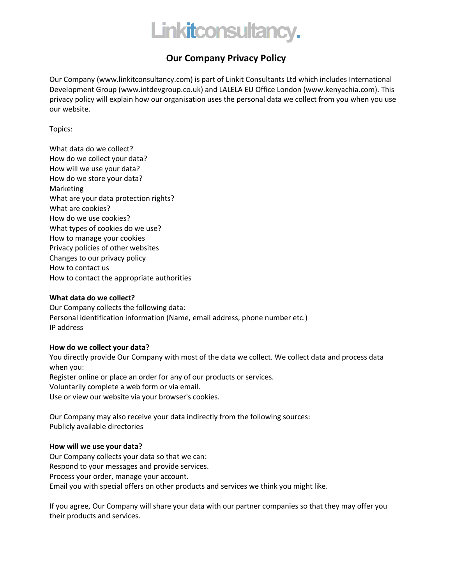

# **Our Company Privacy Policy**

Our Company (www.linkitconsultancy.com) is part of Linkit Consultants Ltd which includes International Development Group (www.intdevgroup.co.uk) and LALELA EU Office London (www.kenyachia.com). This privacy policy will explain how our organisation uses the personal data we collect from you when you use our website.

Topics:

What data do we collect? How do we collect your data? How will we use your data? How do we store your data? Marketing What are your data protection rights? What are cookies? How do we use cookies? What types of cookies do we use? How to manage your cookies Privacy policies of other websites Changes to our privacy policy How to contact us How to contact the appropriate authorities

# **What data do we collect?**

Our Company collects the following data: Personal identification information (Name, email address, phone number etc.) IP address

# **How do we collect your data?**

You directly provide Our Company with most of the data we collect. We collect data and process data when you: Register online or place an order for any of our products or services. Voluntarily complete a web form or via email. Use or view our website via your browser's cookies.

Our Company may also receive your data indirectly from the following sources: Publicly available directories

# **How will we use your data?**

Our Company collects your data so that we can: Respond to your messages and provide services. Process your order, manage your account. Email you with special offers on other products and services we think you might like.

If you agree, Our Company will share your data with our partner companies so that they may offer you their products and services.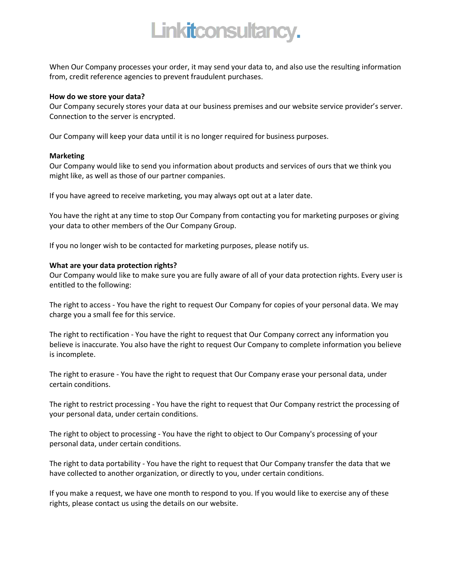# Linkitconsultancy.

When Our Company processes your order, it may send your data to, and also use the resulting information from, credit reference agencies to prevent fraudulent purchases.

#### **How do we store your data?**

Our Company securely stores your data at our business premises and our website service provider's server. Connection to the server is encrypted.

Our Company will keep your data until it is no longer required for business purposes.

#### **Marketing**

Our Company would like to send you information about products and services of ours that we think you might like, as well as those of our partner companies.

If you have agreed to receive marketing, you may always opt out at a later date.

You have the right at any time to stop Our Company from contacting you for marketing purposes or giving your data to other members of the Our Company Group.

If you no longer wish to be contacted for marketing purposes, please notify us.

#### **What are your data protection rights?**

Our Company would like to make sure you are fully aware of all of your data protection rights. Every user is entitled to the following:

The right to access - You have the right to request Our Company for copies of your personal data. We may charge you a small fee for this service.

The right to rectification - You have the right to request that Our Company correct any information you believe is inaccurate. You also have the right to request Our Company to complete information you believe is incomplete.

The right to erasure - You have the right to request that Our Company erase your personal data, under certain conditions.

The right to restrict processing - You have the right to request that Our Company restrict the processing of your personal data, under certain conditions.

The right to object to processing - You have the right to object to Our Company's processing of your personal data, under certain conditions.

The right to data portability - You have the right to request that Our Company transfer the data that we have collected to another organization, or directly to you, under certain conditions.

If you make a request, we have one month to respond to you. If you would like to exercise any of these rights, please contact us using the details on our website.